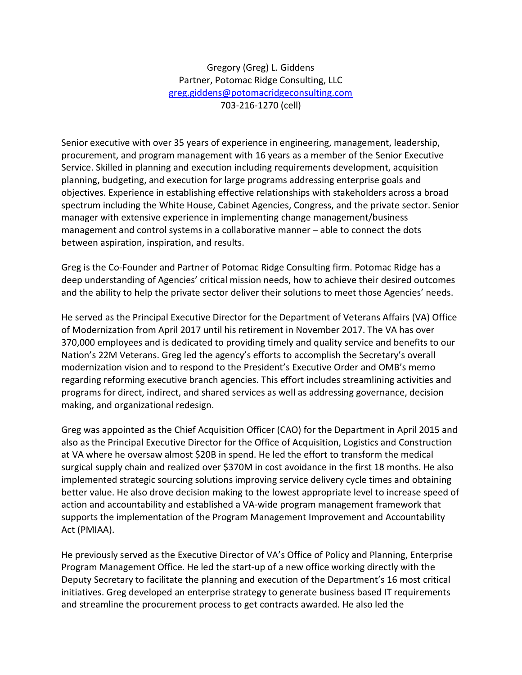Gregory (Greg) L. Giddens Partner, Potomac Ridge Consulting, LLC greg.giddens@potomacridgeconsulting.com 703-216-1270 (cell)

Senior executive with over 35 years of experience in engineering, management, leadership, procurement, and program management with 16 years as a member of the Senior Executive Service. Skilled in planning and execution including requirements development, acquisition planning, budgeting, and execution for large programs addressing enterprise goals and objectives. Experience in establishing effective relationships with stakeholders across a broad spectrum including the White House, Cabinet Agencies, Congress, and the private sector. Senior manager with extensive experience in implementing change management/business management and control systems in a collaborative manner – able to connect the dots between aspiration, inspiration, and results.

Greg is the Co-Founder and Partner of Potomac Ridge Consulting firm. Potomac Ridge has a deep understanding of Agencies' critical mission needs, how to achieve their desired outcomes and the ability to help the private sector deliver their solutions to meet those Agencies' needs.

He served as the Principal Executive Director for the Department of Veterans Affairs (VA) Office of Modernization from April 2017 until his retirement in November 2017. The VA has over 370,000 employees and is dedicated to providing timely and quality service and benefits to our Nation's 22M Veterans. Greg led the agency's efforts to accomplish the Secretary's overall modernization vision and to respond to the President's Executive Order and OMB's memo regarding reforming executive branch agencies. This effort includes streamlining activities and programs for direct, indirect, and shared services as well as addressing governance, decision making, and organizational redesign.

Greg was appointed as the Chief Acquisition Officer (CAO) for the Department in April 2015 and also as the Principal Executive Director for the Office of Acquisition, Logistics and Construction at VA where he oversaw almost \$20B in spend. He led the effort to transform the medical surgical supply chain and realized over \$370M in cost avoidance in the first 18 months. He also implemented strategic sourcing solutions improving service delivery cycle times and obtaining better value. He also drove decision making to the lowest appropriate level to increase speed of action and accountability and established a VA-wide program management framework that supports the implementation of the Program Management Improvement and Accountability Act (PMIAA).

He previously served as the Executive Director of VA's Office of Policy and Planning, Enterprise Program Management Office. He led the start-up of a new office working directly with the Deputy Secretary to facilitate the planning and execution of the Department's 16 most critical initiatives. Greg developed an enterprise strategy to generate business based IT requirements and streamline the procurement process to get contracts awarded. He also led the